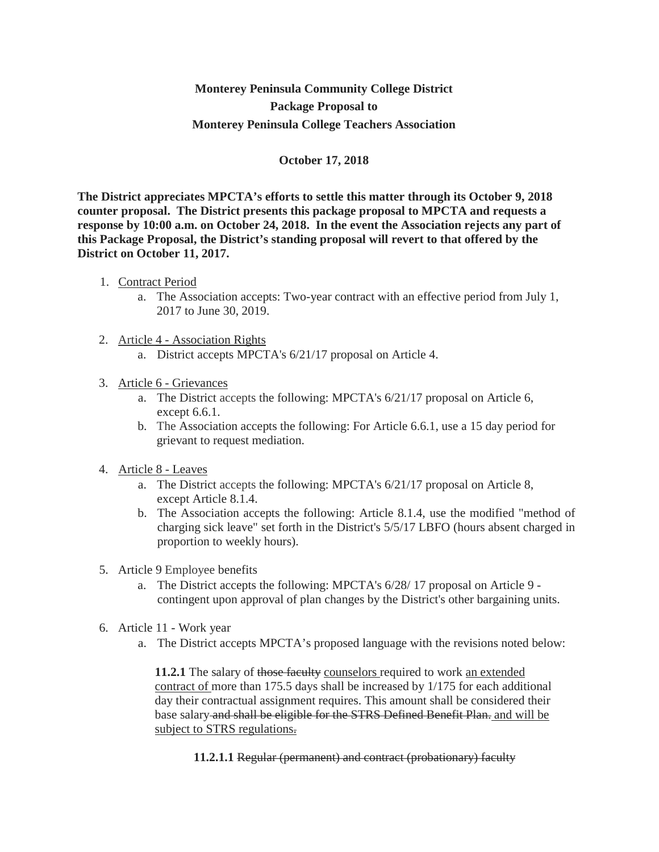## **Monterey Peninsula Community College District Package Proposal to Monterey Peninsula College Teachers Association**

## **October 17, 2018**

**The District appreciates MPCTA's efforts to settle this matter through its October 9, 2018 counter proposal. The District presents this package proposal to MPCTA and requests a response by 10:00 a.m. on October 24, 2018. In the event the Association rejects any part of this Package Proposal, the District's standing proposal will revert to that offered by the District on October 11, 2017.**

- 1. Contract Period
	- a. The Association accepts: Two-year contract with an effective period from July 1, 2017 to June 30, 2019.
- 2. Article 4 Association Rights
	- a. District accepts MPCTA's 6/21/17 proposal on Article 4.

## 3. Article 6 - Grievances

- a. The District accepts the following: MPCTA's 6/21/17 proposal on Article 6, except 6.6.1.
- b. The Association accepts the following: For Article 6.6.1, use a 15 day period for grievant to request mediation.
- 4. Article 8 Leaves
	- a. The District accepts the following: MPCTA's 6/21/17 proposal on Article 8, except Article 8.1.4.
	- b. The Association accepts the following: Article 8.1.4, use the modified "method of charging sick leave" set forth in the District's 5/5/17 LBFO (hours absent charged in proportion to weekly hours).
- 5. Article 9 Employee benefits
	- a. The District accepts the following: MPCTA's 6/28/ 17 proposal on Article 9 contingent upon approval of plan changes by the District's other bargaining units.
- 6. Article 11 Work year
	- a. The District accepts MPCTA's proposed language with the revisions noted below:

**11.2.1** The salary of those faculty counselors required to work an extended contract of more than 175.5 days shall be increased by 1/175 for each additional day their contractual assignment requires. This amount shall be considered their base salary and shall be eligible for the STRS Defined Benefit Plan. and will be subject to STRS regulations.

**11.2.1.1** Regular (permanent) and contract (probationary) faculty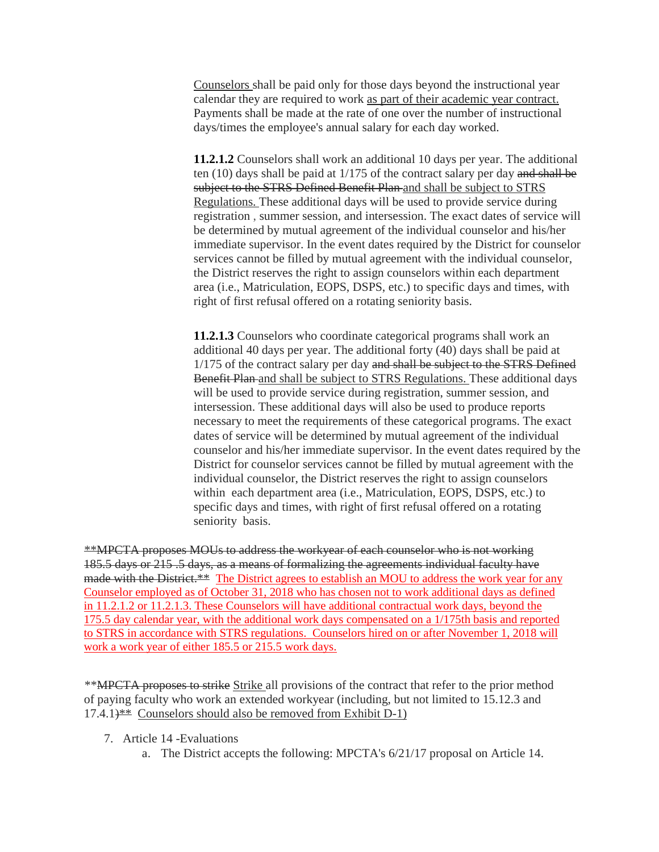Counselors shall be paid only for those days beyond the instructional year calendar they are required to work as part of their academic year contract. Payments shall be made at the rate of one over the number of instructional days/times the employee's annual salary for each day worked.

**11.2.1.2** Counselors shall work an additional 10 days per year. The additional ten (10) days shall be paid at 1/175 of the contract salary per day and shall be subject to the STRS Defined Benefit Plan and shall be subject to STRS Regulations. These additional days will be used to provide service during registration , summer session, and intersession. The exact dates of service will be determined by mutual agreement of the individual counselor and his/her immediate supervisor. In the event dates required by the District for counselor services cannot be filled by mutual agreement with the individual counselor, the District reserves the right to assign counselors within each department area (i.e., Matriculation, EOPS, DSPS, etc.) to specific days and times, with right of first refusal offered on a rotating seniority basis.

**11.2.1.3** Counselors who coordinate categorical programs shall work an additional 40 days per year. The additional forty (40) days shall be paid at 1/175 of the contract salary per day and shall be subject to the STRS Defined Benefit Plan and shall be subject to STRS Regulations. These additional days will be used to provide service during registration, summer session, and intersession. These additional days will also be used to produce reports necessary to meet the requirements of these categorical programs. The exact dates of service will be determined by mutual agreement of the individual counselor and his/her immediate supervisor. In the event dates required by the District for counselor services cannot be filled by mutual agreement with the individual counselor, the District reserves the right to assign counselors within each department area (i.e., Matriculation, EOPS, DSPS, etc.) to specific days and times, with right of first refusal offered on a rotating seniority basis.

\*\*MPCTA proposes MOUs to address the workyear of each counselor who is not working 185.5 days or 215 .5 days, as a means of formalizing the agreements individual faculty have made with the District.\*\* The District agrees to establish an MOU to address the work year for any Counselor employed as of October 31, 2018 who has chosen not to work additional days as defined in 11.2.1.2 or 11.2.1.3. These Counselors will have additional contractual work days, beyond the 175.5 day calendar year, with the additional work days compensated on a 1/175th basis and reported to STRS in accordance with STRS regulations. Counselors hired on or after November 1, 2018 will work a work year of either 185.5 or 215.5 work days.

\*\*MPCTA proposes to strike Strike all provisions of the contract that refer to the prior method of paying faculty who work an extended workyear (including, but not limited to 15.12.3 and  $17.4.1$ <sup>\*\*</sup> Counselors should also be removed from Exhibit D-1)

- 7. Article 14 -Evaluations
	- a. The District accepts the following: MPCTA's 6/21/17 proposal on Article 14.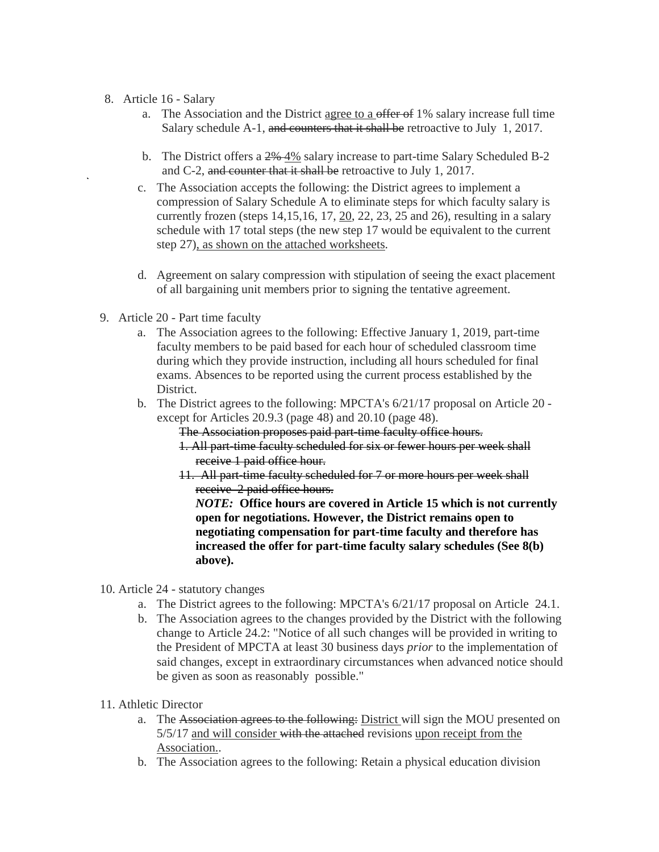- 8. Article 16 Salary
	- a. The Association and the District agree to a offer of 1% salary increase full time Salary schedule A-1, and counters that it shall be retroactive to July 1, 2017.
	- b. The District offers a  $2\frac{4\%}{4\%}$  salary increase to part-time Salary Scheduled B-2 and C-2, and counter that it shall be retroactive to July 1, 2017.
	- c. The Association accepts the following: the District agrees to implement a compression of Salary Schedule A to eliminate steps for which faculty salary is currently frozen (steps 14,15,16, 17, 20, 22, 23, 25 and 26), resulting in a salary schedule with 17 total steps (the new step 17 would be equivalent to the current step 27), as shown on the attached worksheets.
	- d. Agreement on salary compression with stipulation of seeing the exact placement of all bargaining unit members prior to signing the tentative agreement.
- 9. Article 20 Part time faculty
	- a. The Association agrees to the following: Effective January 1, 2019, part-time faculty members to be paid based for each hour of scheduled classroom time during which they provide instruction, including all hours scheduled for final exams. Absences to be reported using the current process established by the District.
	- b. The District agrees to the following: MPCTA's 6/21/17 proposal on Article 20 except for Articles 20.9.3 (page 48) and 20.10 (page 48).

The Association proposes paid part-time faculty office hours.

- 1. All part-time faculty scheduled for six or fewer hours per week shall receive 1 paid office hour.
- 11. All part-time faculty scheduled for 7 or more hours per week shall receive 2 paid office hours.

*NOTE:* **Office hours are covered in Article 15 which is not currently open for negotiations. However, the District remains open to negotiating compensation for part-time faculty and therefore has increased the offer for part-time faculty salary schedules (See 8(b) above).**

- 10. Article 24 statutory changes
	- a. The District agrees to the following: MPCTA's 6/21/17 proposal on Article 24.1.
	- b. The Association agrees to the changes provided by the District with the following change to Article 24.2: "Notice of all such changes will be provided in writing to the President of MPCTA at least 30 business days *prior* to the implementation of said changes, except in extraordinary circumstances when advanced notice should be given as soon as reasonably possible."
- 11. Athletic Director
	- a. The Association agrees to the following: District will sign the MOU presented on 5/5/17 and will consider with the attached revisions upon receipt from the Association..
	- b. The Association agrees to the following: Retain a physical education division